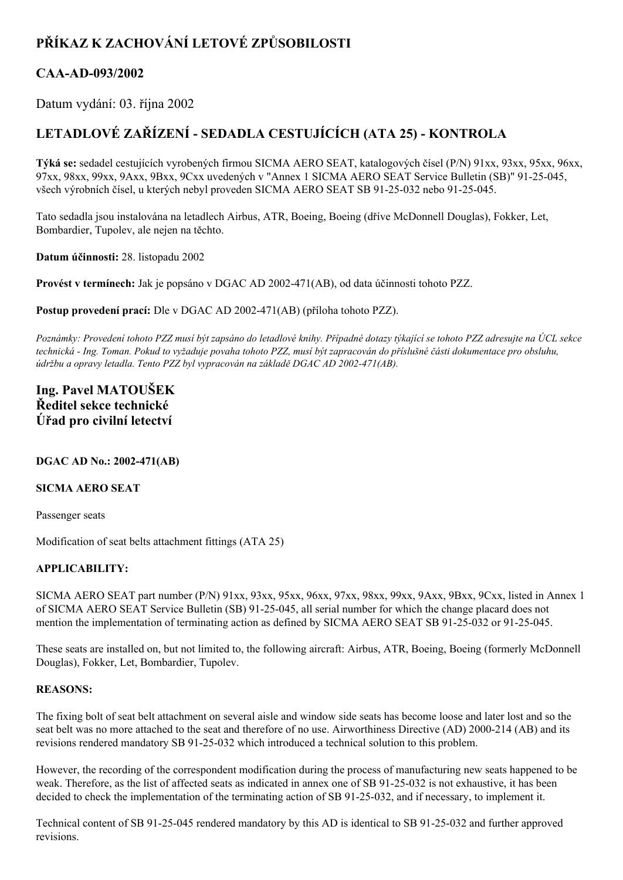# **PŘÍKAZ K ZACHOVÁNÍ LETOVÉ ZPŮSOBILOSTI**

# **CAAAD093/2002**

Datum vydání: 03. října 2002

# **LETADLOVÉ ZAŘÍZENÍ SEDADLA CESTUJÍCÍCH (ATA 25) KONTROLA**

**Týká se:** sedadel cestujících vyrobených firmou SICMA AERO SEAT, katalogových čísel (P/N) 91xx, 93xx, 95xx, 96xx, 97xx, 98xx, 99xx, 9Axx, 9Bxx, 9Cxx uvedených v "Annex 1 SICMA AERO SEAT Service Bulletin (SB)" 91-25-045, všech výrobních čísel, u kterých nebyl proveden SICMA AERO SEAT SB 91-25-032 nebo 91-25-045.

Tato sedadla jsou instalována na letadlech Airbus, ATR, Boeing, Boeing (dříve McDonnell Douglas), Fokker, Let, Bombardier, Tupolev, ale nejen na těchto.

**Datum účinnosti:** 28. listopadu 2002

**Provést v termínech:** Jak je popsáno v DGAC AD 2002471(AB), od data účinnosti tohoto PZZ.

**Postup provedení prací:** Dle v DGAC AD 2002-471(AB) (příloha tohoto PZZ).

Poznámky: Provedení tohoto PZZ musí být zapsáno do letadlové knihy. Případné dotazy týkající se tohoto PZZ adresujte na ÚCL sekce technická - Ing. Toman. Pokud to vyžaduje povaha tohoto PZZ, musí být zapracován do příslušné části dokumentace pro obsluhu, *údržbu a opravy letadla. Tento PZZ byl vypracován na základě DGAC AD 2002471(AB).*

## **Ing. Pavel MATOUŠEK Ředitel sekce technické Úřad pro civilní letectví**

### **DGAC AD No.: 2002471(AB)**

#### **SICMA AERO SEAT**

Passenger seats

Modification of seat belts attachment fittings (ATA 25)

### **APPLICABILITY:**

SICMA AERO SEAT part number (P/N) 91xx, 93xx, 95xx, 96xx, 97xx, 98xx, 99xx, 9Axx, 9Bxx, 9Cxx, listed in Annex 1 of SICMA AERO SEAT Service Bulletin (SB) 91-25-045, all serial number for which the change placard does not mention the implementation of terminating action as defined by SICMA AERO SEAT SB 91-25-032 or 91-25-045.

These seats are installed on, but not limited to, the following aircraft: Airbus, ATR, Boeing, Boeing (formerly McDonnell Douglas), Fokker, Let, Bombardier, Tupolev.

#### **REASONS:**

The fixing bolt of seat belt attachment on several aisle and window side seats has become loose and later lost and so the seat belt was no more attached to the seat and therefore of no use. Airworthiness Directive (AD) 2000-214 (AB) and its revisions rendered mandatory SB 91-25-032 which introduced a technical solution to this problem.

However, the recording of the correspondent modification during the process of manufacturing new seats happened to be weak. Therefore, as the list of affected seats as indicated in annex one of SB 91-25-032 is not exhaustive, it has been decided to check the implementation of the terminating action of SB 91-25-032, and if necessary, to implement it.

Technical content of SB 91-25-045 rendered mandatory by this AD is identical to SB 91-25-032 and further approved revisions.